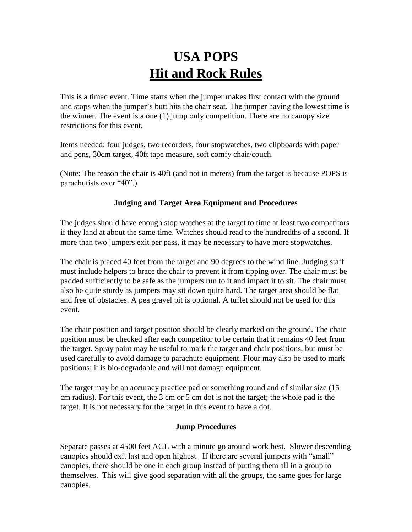## **USA POPS Hit and Rock Rules**

This is a timed event. Time starts when the jumper makes first contact with the ground and stops when the jumper's butt hits the chair seat. The jumper having the lowest time is the winner. The event is a one (1) jump only competition. There are no canopy size restrictions for this event.

Items needed: four judges, two recorders, four stopwatches, two clipboards with paper and pens, 30cm target, 40ft tape measure, soft comfy chair/couch.

(Note: The reason the chair is 40ft (and not in meters) from the target is because POPS is parachutists over "40".)

## **Judging and Target Area Equipment and Procedures**

The judges should have enough stop watches at the target to time at least two competitors if they land at about the same time. Watches should read to the hundredths of a second. If more than two jumpers exit per pass, it may be necessary to have more stopwatches.

The chair is placed 40 feet from the target and 90 degrees to the wind line. Judging staff must include helpers to brace the chair to prevent it from tipping over. The chair must be padded sufficiently to be safe as the jumpers run to it and impact it to sit. The chair must also be quite sturdy as jumpers may sit down quite hard. The target area should be flat and free of obstacles. A pea gravel pit is optional. A tuffet should not be used for this event.

The chair position and target position should be clearly marked on the ground. The chair position must be checked after each competitor to be certain that it remains 40 feet from the target. Spray paint may be useful to mark the target and chair positions, but must be used carefully to avoid damage to parachute equipment. Flour may also be used to mark positions; it is bio-degradable and will not damage equipment.

The target may be an accuracy practice pad or something round and of similar size (15 cm radius). For this event, the 3 cm or 5 cm dot is not the target; the whole pad is the target. It is not necessary for the target in this event to have a dot.

## **Jump Procedures**

Separate passes at 4500 feet AGL with a minute go around work best. Slower descending canopies should exit last and open highest. If there are several jumpers with "small" canopies, there should be one in each group instead of putting them all in a group to themselves. This will give good separation with all the groups, the same goes for large canopies.